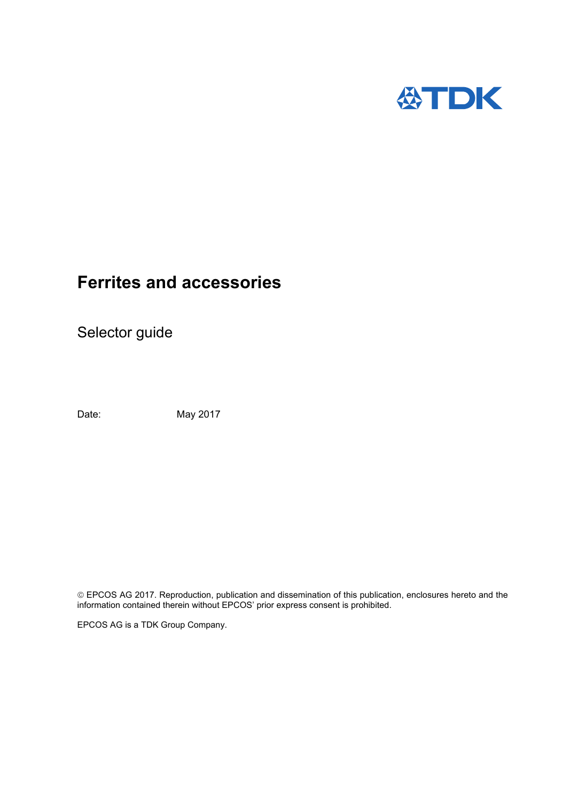

# **Ferrites and accessories**

Selector guide

Date: May 2017

 EPCOS AG 2017. Reproduction, publication and dissemination of this publication, enclosures hereto and the information contained therein without EPCOS' prior express consent is prohibited.

EPCOS AG is a TDK Group Company.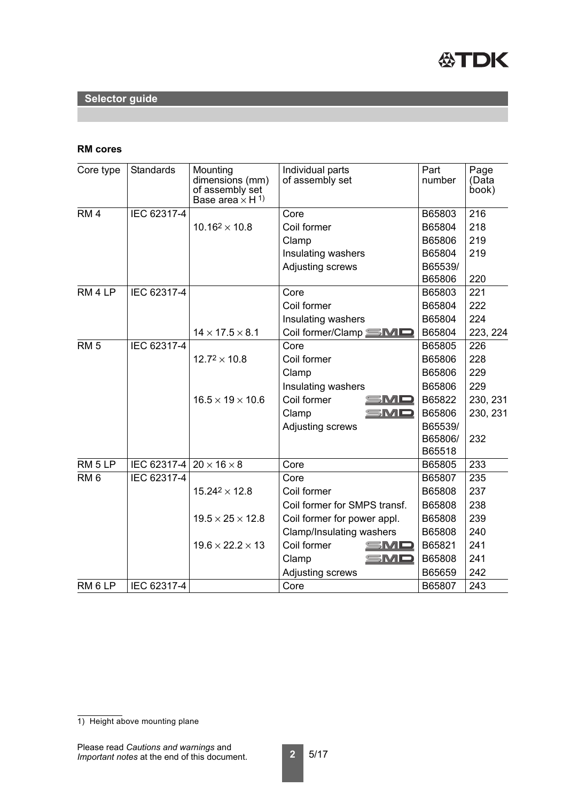

## **RM cores**

| Core type          | <b>Standards</b>                      | Mounting<br>dimensions (mm)<br>of assembly set<br>Base area $\times$ H <sup>1)</sup> | Individual parts<br>of assembly set | Part<br>number | Page<br>(Data<br>book) |
|--------------------|---------------------------------------|--------------------------------------------------------------------------------------|-------------------------------------|----------------|------------------------|
| RM <sub>4</sub>    | IEC 62317-4                           |                                                                                      | Core                                | B65803         | 216                    |
|                    |                                       | $10.16^2 \times 10.8$                                                                | Coil former                         | B65804         | 218                    |
|                    |                                       |                                                                                      | Clamp                               | B65806         | 219                    |
|                    |                                       |                                                                                      | Insulating washers                  | B65804         | 219                    |
|                    |                                       |                                                                                      | <b>Adjusting screws</b>             | B65539/        |                        |
|                    |                                       |                                                                                      |                                     | B65806         | 220                    |
| RM <sub>4</sub> LP | IEC 62317-4                           |                                                                                      | Core                                | B65803         | 221                    |
|                    |                                       |                                                                                      | Coil former                         | B65804         | 222                    |
|                    |                                       |                                                                                      | Insulating washers                  | B65804         | 224                    |
|                    |                                       | $14 \times 17.5 \times 8.1$                                                          | Coil former/Clamp SMD               | B65804         | 223, 224               |
| RM <sub>5</sub>    | IEC 62317-4                           |                                                                                      | Core                                | B65805         | 226                    |
|                    |                                       | $12.7^{2} \times 10.8$                                                               | Coil former                         | B65806         | 228                    |
|                    |                                       |                                                                                      | Clamp                               | B65806         | 229                    |
|                    |                                       |                                                                                      | Insulating washers                  | B65806         | 229                    |
|                    |                                       | $16.5 \times 19 \times 10.6$                                                         | Coil former<br>$\equiv$ MD          | B65822         | 230, 231               |
|                    |                                       |                                                                                      | SMD<br>Clamp                        | B65806         | 230, 231               |
|                    |                                       |                                                                                      | Adjusting screws                    | B65539/        |                        |
|                    |                                       |                                                                                      |                                     | B65806/        | 232                    |
|                    |                                       |                                                                                      |                                     | B65518         |                        |
| RM <sub>5</sub> LP | IEC 62317-4 20 $\times$ 16 $\times$ 8 |                                                                                      | Core                                | B65805         | 233                    |
| RM <sub>6</sub>    | IEC 62317-4                           |                                                                                      | Core                                | B65807         | 235                    |
|                    |                                       | $15.24^2 \times 12.8$                                                                | Coil former                         | B65808         | 237                    |
|                    |                                       |                                                                                      | Coil former for SMPS transf.        | B65808         | 238                    |
|                    |                                       | $19.5 \times 25 \times 12.8$                                                         | Coil former for power appl.         | B65808         | 239                    |
|                    |                                       |                                                                                      | <b>Clamp/Insulating washers</b>     | B65808         | 240                    |
|                    |                                       | $19.6 \times 22.2 \times 13$                                                         | Coil former<br>SMD                  | B65821         | 241                    |
|                    |                                       |                                                                                      | SMD<br>Clamp                        | B65808         | 241                    |
|                    |                                       |                                                                                      | Adjusting screws                    | B65659         | 242                    |
| RM <sub>6</sub> LP | IEC 62317-4                           |                                                                                      | Core                                | B65807         | 243                    |

<sup>1)</sup> Height above mounting plane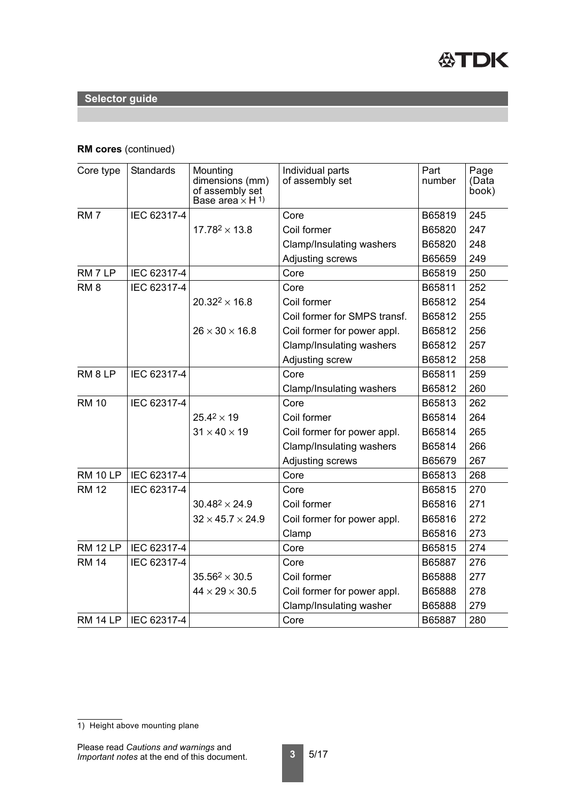

## **RM cores** (continued)

| Core type          | Standards   | Mounting<br>dimensions (mm)<br>of assembly set<br>Base area $\times$ H <sup>1)</sup> | Individual parts<br>of assembly set | Part<br>number | Page<br>(Data<br>book) |
|--------------------|-------------|--------------------------------------------------------------------------------------|-------------------------------------|----------------|------------------------|
| RM <sub>7</sub>    | IEC 62317-4 |                                                                                      | Core                                | B65819         | 245                    |
|                    |             | $17.78^{2} \times 13.8$                                                              | Coil former                         | B65820         | 247                    |
|                    |             |                                                                                      | Clamp/Insulating washers            | B65820         | 248                    |
|                    |             |                                                                                      | Adjusting screws                    | B65659         | 249                    |
| RM 7 LP            | IEC 62317-4 |                                                                                      | Core                                | B65819         | 250                    |
| RM <sub>8</sub>    | IEC 62317-4 |                                                                                      | Core                                | B65811         | 252                    |
|                    |             | $20.32^2 \times 16.8$                                                                | Coil former                         | B65812         | 254                    |
|                    |             |                                                                                      | Coil former for SMPS transf.        | B65812         | 255                    |
|                    |             | $26 \times 30 \times 16.8$                                                           | Coil former for power appl.         | B65812         | 256                    |
|                    |             |                                                                                      | Clamp/Insulating washers            | B65812         | 257                    |
|                    |             |                                                                                      | Adjusting screw                     | B65812         | 258                    |
| RM <sub>8</sub> LP | IEC 62317-4 |                                                                                      | Core                                | B65811         | 259                    |
|                    |             |                                                                                      | Clamp/Insulating washers            | B65812         | 260                    |
| <b>RM 10</b>       | IEC 62317-4 |                                                                                      | Core                                | B65813         | 262                    |
|                    |             | $25.4^{2} \times 19$                                                                 | Coil former                         | B65814         | 264                    |
|                    |             | $31 \times 40 \times 19$                                                             | Coil former for power appl.         | B65814         | 265                    |
|                    |             |                                                                                      | Clamp/Insulating washers            | B65814         | 266                    |
|                    |             |                                                                                      | Adjusting screws                    | B65679         | 267                    |
| <b>RM 10 LP</b>    | IEC 62317-4 |                                                                                      | Core                                | B65813         | 268                    |
| <b>RM 12</b>       | IEC 62317-4 |                                                                                      | Core                                | B65815         | 270                    |
|                    |             | $30.48^2 \times 24.9$                                                                | Coil former                         | B65816         | 271                    |
|                    |             | $32 \times 45.7 \times 24.9$                                                         | Coil former for power appl.         | B65816         | 272                    |
|                    |             |                                                                                      | Clamp                               | B65816         | 273                    |
| <b>RM 12 LP</b>    | IEC 62317-4 |                                                                                      | Core                                | B65815         | 274                    |
| <b>RM 14</b>       | IEC 62317-4 |                                                                                      | Core                                | B65887         | 276                    |
|                    |             | $35.56^2 \times 30.5$                                                                | Coil former                         | B65888         | 277                    |
|                    |             | $44 \times 29 \times 30.5$                                                           | Coil former for power appl.         | B65888         | 278                    |
|                    |             |                                                                                      | Clamp/Insulating washer             | B65888         | 279                    |
| RM 14 LP           | IEC 62317-4 |                                                                                      | Core                                | B65887         | 280                    |

<sup>1)</sup> Height above mounting plane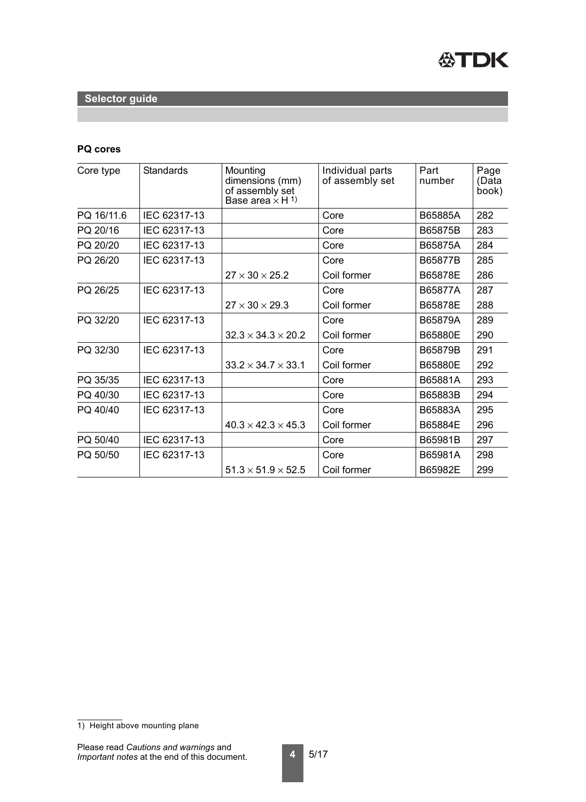

#### **PQ cores**

| Core type  | <b>Standards</b> | Mounting<br>dimensions (mm)<br>of assembly set<br>Base area $\times$ H <sup>1)</sup> | Individual parts<br>of assembly set | Part<br>number | Page<br>(Data<br>book) |
|------------|------------------|--------------------------------------------------------------------------------------|-------------------------------------|----------------|------------------------|
| PQ 16/11.6 | IEC 62317-13     |                                                                                      | Core                                | B65885A        | 282                    |
| PQ 20/16   | IEC 62317-13     |                                                                                      | Core                                | B65875B        | 283                    |
| PQ 20/20   | IEC 62317-13     |                                                                                      | Core                                | B65875A        | 284                    |
| PQ 26/20   | IEC 62317-13     |                                                                                      | Core                                | B65877B        | 285                    |
|            |                  | $27 \times 30 \times 25.2$                                                           | Coil former                         | B65878E        | 286                    |
| PQ 26/25   | IEC 62317-13     |                                                                                      | Core                                | B65877A        | 287                    |
|            |                  | $27 \times 30 \times 29.3$                                                           | Coil former                         | B65878E        | 288                    |
| PQ 32/20   | IEC 62317-13     |                                                                                      | Core                                | B65879A        | 289                    |
|            |                  | $32.3 \times 34.3 \times 20.2$                                                       | Coil former                         | B65880E        | 290                    |
| PQ 32/30   | IEC 62317-13     |                                                                                      | Core                                | B65879B        | 291                    |
|            |                  | $33.2 \times 34.7 \times 33.1$                                                       | Coil former                         | B65880E        | 292                    |
| PQ 35/35   | IEC 62317-13     |                                                                                      | Core                                | B65881A        | 293                    |
| PQ 40/30   | IEC 62317-13     |                                                                                      | Core                                | B65883B        | 294                    |
| PQ 40/40   | IEC 62317-13     |                                                                                      | Core                                | B65883A        | 295                    |
|            |                  | $40.3 \times 42.3 \times 45.3$                                                       | Coil former                         | B65884E        | 296                    |
| PQ 50/40   | IEC 62317-13     |                                                                                      | Core                                | B65981B        | 297                    |
| PQ 50/50   | IEC 62317-13     |                                                                                      | Core                                | B65981A        | 298                    |
|            |                  | $51.3 \times 51.9 \times 52.5$                                                       | Coil former                         | B65982E        | 299                    |

<sup>1)</sup> Height above mounting plane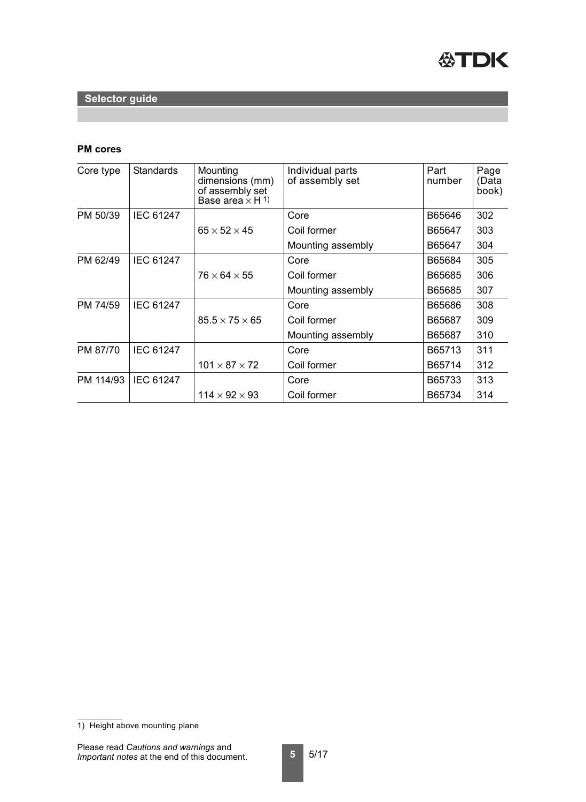

## **PM cores**

| Core type | <b>Standards</b> | Mounting<br>dimensions (mm)<br>of assembly set<br>Base area $\times$ H <sup>1)</sup> | Individual parts<br>of assembly set | Part<br>number | Page<br>(Data<br>book) |
|-----------|------------------|--------------------------------------------------------------------------------------|-------------------------------------|----------------|------------------------|
| PM 50/39  | <b>IEC 61247</b> |                                                                                      | Core                                | B65646         | 302                    |
|           |                  | $65 \times 52 \times 45$                                                             | Coil former                         | B65647         | 303                    |
|           |                  |                                                                                      | Mounting assembly                   | B65647         | 304                    |
| PM 62/49  | <b>IEC 61247</b> |                                                                                      | Core                                | B65684         | 305                    |
|           |                  | $76 \times 64 \times 55$                                                             | Coil former                         | B65685         | 306                    |
|           |                  |                                                                                      | Mounting assembly                   | B65685         | 307                    |
| PM 74/59  | <b>IEC 61247</b> |                                                                                      | Core                                | B65686         | 308                    |
|           |                  | $85.5 \times 75 \times 65$                                                           | Coil former                         | B65687         | 309                    |
|           |                  |                                                                                      | Mounting assembly                   | B65687         | 310                    |
| PM 87/70  | <b>IEC 61247</b> |                                                                                      | Core                                | B65713         | 311                    |
|           |                  | $101 \times 87 \times 72$                                                            | Coil former                         | B65714         | 312                    |
| PM 114/93 | <b>IEC 61247</b> |                                                                                      | Core                                | B65733         | 313                    |
|           |                  | $114 \times 92 \times 93$                                                            | Coil former                         | B65734         | 314                    |

<sup>1)</sup> Height above mounting plane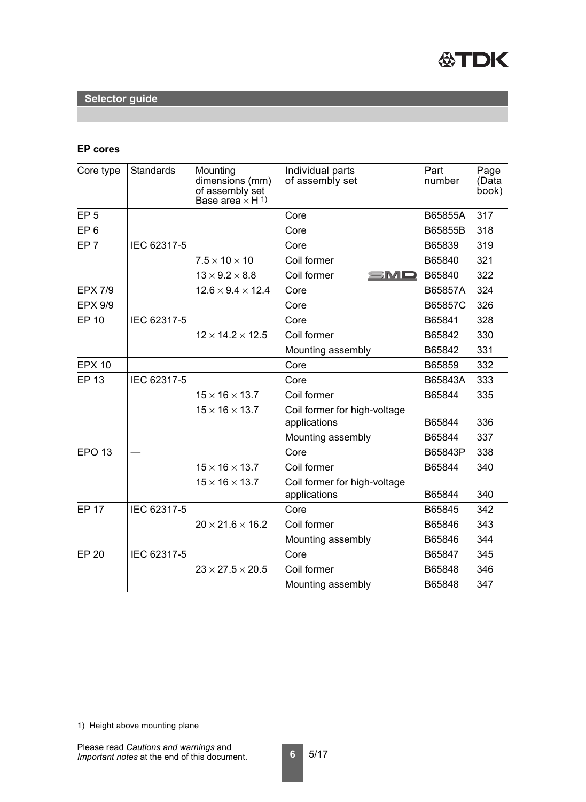

## **EP cores**

| Core type       | Standards   | Mounting<br>dimensions (mm)<br>of assembly set<br>Base area $\times$ H <sup>1)</sup> | Individual parts<br>of assembly set | Part<br>number | Page<br>(Data<br>book) |
|-----------------|-------------|--------------------------------------------------------------------------------------|-------------------------------------|----------------|------------------------|
| EP <sub>5</sub> |             |                                                                                      | Core                                | B65855A        | 317                    |
| EP <sub>6</sub> |             |                                                                                      | Core                                | B65855B        | 318                    |
| EP <sub>7</sub> | IEC 62317-5 |                                                                                      | Core                                | B65839         | 319                    |
|                 |             | $7.5 \times 10 \times 10$                                                            | Coil former                         | B65840         | 321                    |
|                 |             | $13 \times 9.2 \times 8.8$                                                           | Coil former<br>SMD                  | B65840         | 322                    |
| <b>EPX 7/9</b>  |             | $12.6 \times 9.4 \times 12.4$                                                        | Core                                | B65857A        | 324                    |
| <b>EPX 9/9</b>  |             |                                                                                      | Core                                | B65857C        | 326                    |
| <b>EP 10</b>    | IEC 62317-5 |                                                                                      | Core                                | B65841         | 328                    |
|                 |             | $12 \times 14.2 \times 12.5$                                                         | Coil former                         | B65842         | 330                    |
|                 |             |                                                                                      | Mounting assembly                   | B65842         | 331                    |
| <b>EPX 10</b>   |             |                                                                                      | Core                                | B65859         | 332                    |
| <b>EP 13</b>    | IEC 62317-5 |                                                                                      | Core                                | B65843A        | 333                    |
|                 |             | $15 \times 16 \times 13.7$                                                           | Coil former                         | B65844         | 335                    |
|                 |             | $15 \times 16 \times 13.7$                                                           | Coil former for high-voltage        |                |                        |
|                 |             |                                                                                      | applications                        | B65844         | 336                    |
|                 |             |                                                                                      | Mounting assembly                   | B65844         | 337                    |
| <b>EPO 13</b>   |             |                                                                                      | Core                                | B65843P        | 338                    |
|                 |             | $15 \times 16 \times 13.7$                                                           | Coil former                         | B65844         | 340                    |
|                 |             | $15 \times 16 \times 13.7$                                                           | Coil former for high-voltage        |                |                        |
|                 |             |                                                                                      | applications                        | B65844         | 340                    |
| <b>EP 17</b>    | IEC 62317-5 |                                                                                      | Core                                | B65845         | 342                    |
|                 |             | $20 \times 21.6 \times 16.2$                                                         | Coil former                         | B65846         | 343                    |
|                 |             |                                                                                      | Mounting assembly                   | B65846         | 344                    |
| <b>EP 20</b>    | IEC 62317-5 |                                                                                      | Core                                | B65847         | 345                    |
|                 |             | $23 \times 27.5 \times 20.5$                                                         | Coil former                         | B65848         | 346                    |
|                 |             |                                                                                      | Mounting assembly                   | B65848         | 347                    |

<sup>1)</sup> Height above mounting plane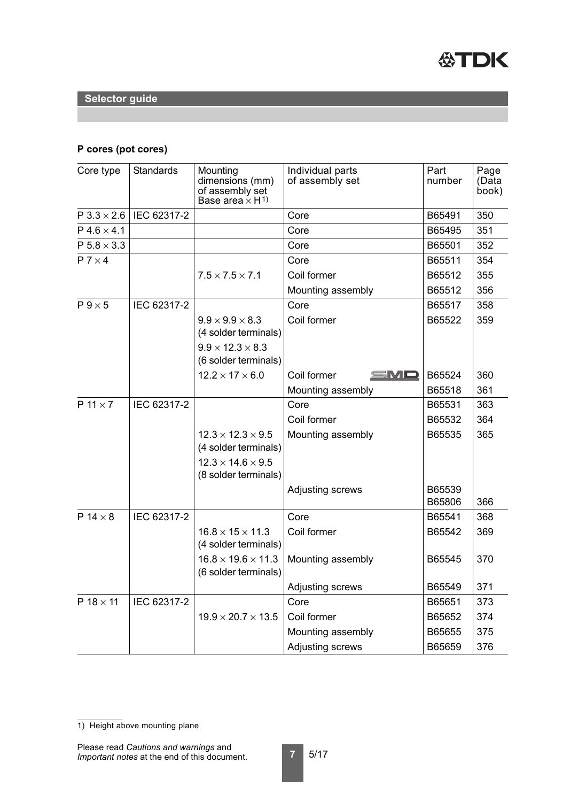

## **P cores (pot cores)**

| Core type            | <b>Standards</b> | Mounting<br>dimensions (mm)<br>of assembly set<br>Base area $\times$ H <sup>1)</sup> | Individual parts<br>of assembly set | Part<br>number   | Page<br>(Data<br>book) |
|----------------------|------------------|--------------------------------------------------------------------------------------|-------------------------------------|------------------|------------------------|
| $P$ 3.3 $\times$ 2.6 | IEC 62317-2      |                                                                                      | Core                                | B65491           | 350                    |
| $P$ 4.6 $\times$ 4.1 |                  |                                                                                      | Core                                | B65495           | 351                    |
| $P 5.8 \times 3.3$   |                  |                                                                                      | Core                                | B65501           | 352                    |
| $P$ 7 $\times$ 4     |                  |                                                                                      | Core                                | B65511           | 354                    |
|                      |                  | $7.5 \times 7.5 \times 7.1$                                                          | Coil former                         | B65512           | 355                    |
|                      |                  |                                                                                      | Mounting assembly                   | B65512           | 356                    |
| $P9\times 5$         | IEC 62317-2      |                                                                                      | Core                                | B65517           | 358                    |
|                      |                  | $9.9 \times 9.9 \times 8.3$                                                          | Coil former                         | B65522           | 359                    |
|                      |                  | (4 solder terminals)                                                                 |                                     |                  |                        |
|                      |                  | $9.9 \times 12.3 \times 8.3$<br>(6 solder terminals)                                 |                                     |                  |                        |
|                      |                  | $12.2 \times 17 \times 6.0$                                                          | SMD<br>Coil former                  | B65524           | 360                    |
|                      |                  |                                                                                      | Mounting assembly                   | B65518           | 361                    |
| $P$ 11 $\times$ 7    | IEC 62317-2      |                                                                                      | Core                                | B65531           | 363                    |
|                      |                  |                                                                                      | Coil former                         | B65532           | 364                    |
|                      |                  | $12.3 \times 12.3 \times 9.5$<br>(4 solder terminals)                                | Mounting assembly                   | B65535           | 365                    |
|                      |                  | $12.3 \times 14.6 \times 9.5$<br>(8 solder terminals)                                |                                     |                  |                        |
|                      |                  |                                                                                      | <b>Adjusting screws</b>             | B65539<br>B65806 | 366                    |
| $P$ 14 $\times$ 8    | IEC 62317-2      |                                                                                      | Core                                | B65541           | 368                    |
|                      |                  | $16.8 \times 15 \times 11.3$<br>(4 solder terminals)                                 | Coil former                         | B65542           | 369                    |
|                      |                  | $16.8 \times 19.6 \times 11.3$<br>(6 solder terminals)                               | Mounting assembly                   | B65545           | 370                    |
|                      |                  |                                                                                      | <b>Adjusting screws</b>             | B65549           | 371                    |
| $P$ 18 $\times$ 11   | IEC 62317-2      |                                                                                      | Core                                | B65651           | 373                    |
|                      |                  | $19.9 \times 20.7 \times 13.5$                                                       | Coil former                         | B65652           | 374                    |
|                      |                  |                                                                                      | Mounting assembly                   | B65655           | 375                    |
|                      |                  |                                                                                      | Adjusting screws                    | B65659           | 376                    |

<sup>1)</sup> Height above mounting plane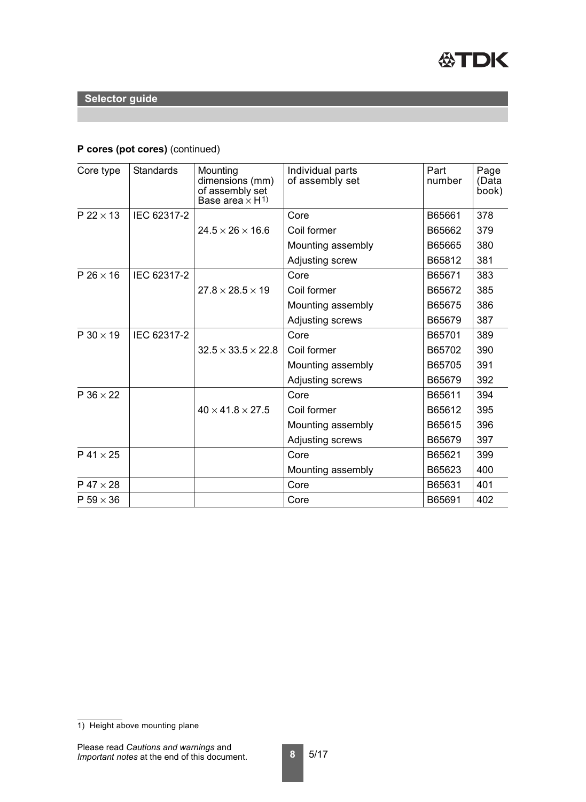

## **P cores (pot cores)** (continued)

| Core type          | <b>Standards</b> | Mounting<br>dimensions (mm)<br>of assembly set<br>Base area $\times$ H <sup>1)</sup> | Individual parts<br>of assembly set | Part<br>number | Page<br>(Data<br>book) |
|--------------------|------------------|--------------------------------------------------------------------------------------|-------------------------------------|----------------|------------------------|
| $P$ 22 $\times$ 13 | IEC 62317-2      |                                                                                      | Core                                | B65661         | 378                    |
|                    |                  | $24.5 \times 26 \times 16.6$                                                         | Coil former                         | B65662         | 379                    |
|                    |                  |                                                                                      | Mounting assembly                   | B65665         | 380                    |
|                    |                  |                                                                                      | Adjusting screw                     | B65812         | 381                    |
| $P$ 26 $\times$ 16 | IEC 62317-2      |                                                                                      | Core                                | B65671         | 383                    |
|                    |                  | $27.8 \times 28.5 \times 19$                                                         | Coil former                         | B65672         | 385                    |
|                    |                  |                                                                                      | Mounting assembly                   | B65675         | 386                    |
|                    |                  |                                                                                      | Adjusting screws                    | B65679         | 387                    |
| $P 30 \times 19$   | IEC 62317-2      |                                                                                      | Core                                | B65701         | 389                    |
|                    |                  | $32.5 \times 33.5 \times 22.8$                                                       | Coil former                         | B65702         | 390                    |
|                    |                  |                                                                                      | Mounting assembly                   | B65705         | 391                    |
|                    |                  |                                                                                      | Adjusting screws                    | B65679         | 392                    |
| $P$ 36 $\times$ 22 |                  |                                                                                      | Core                                | B65611         | 394                    |
|                    |                  | $40 \times 41.8 \times 27.5$                                                         | Coil former                         | B65612         | 395                    |
|                    |                  |                                                                                      | Mounting assembly                   | B65615         | 396                    |
|                    |                  |                                                                                      | Adjusting screws                    | B65679         | 397                    |
| $P$ 41 $\times$ 25 |                  |                                                                                      | Core                                | B65621         | 399                    |
|                    |                  |                                                                                      | Mounting assembly                   | B65623         | 400                    |
| $P$ 47 $\times$ 28 |                  |                                                                                      | Core                                | B65631         | 401                    |
| $P 59 \times 36$   |                  |                                                                                      | Core                                | B65691         | 402                    |

<sup>1)</sup> Height above mounting plane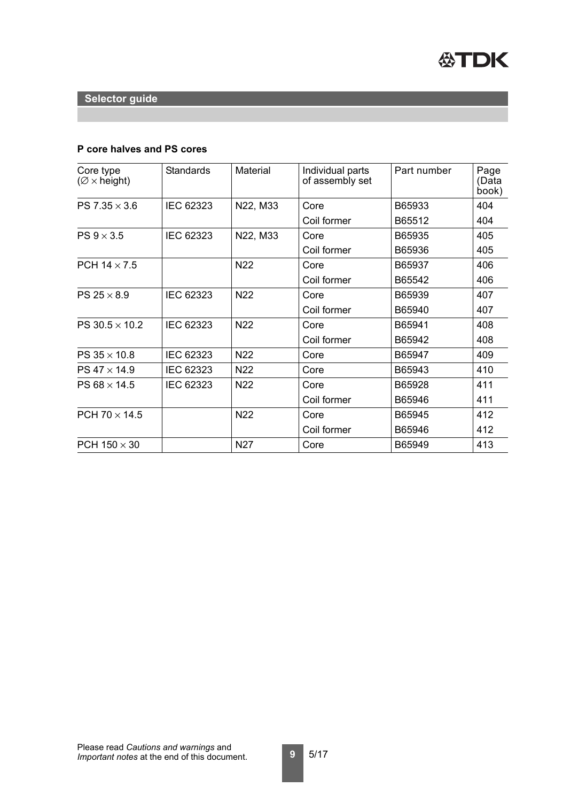## **P core halves and PS cores**

| Core type<br>$(\emptyset \times \text{height})$ | <b>Standards</b> | <b>Material</b> | Individual parts<br>of assembly set | Part number | Page<br>(Data<br>book) |
|-------------------------------------------------|------------------|-----------------|-------------------------------------|-------------|------------------------|
| PS $7.35 \times 3.6$                            | IEC 62323        | N22, M33        | Core                                | B65933      | 404                    |
|                                                 |                  |                 | Coil former                         | B65512      | 404                    |
| PS $9 \times 3.5$                               | <b>IEC 62323</b> | N22, M33        | Core                                | B65935      | 405                    |
|                                                 |                  |                 | Coil former                         | B65936      | 405                    |
| PCH $14 \times 7.5$                             |                  | <b>N22</b>      | Core                                | B65937      | 406                    |
|                                                 |                  |                 | Coil former                         | B65542      | 406                    |
| PS $25 \times 8.9$                              | <b>IEC 62323</b> | <b>N22</b>      | Core                                | B65939      | 407                    |
|                                                 |                  |                 | Coil former                         | B65940      | 407                    |
| PS $30.5 \times 10.2$                           | <b>IEC 62323</b> | <b>N22</b>      | Core                                | B65941      | 408                    |
|                                                 |                  |                 | Coil former                         | B65942      | 408                    |
| PS $35 \times 10.8$                             | IEC 62323        | N22             | Core                                | B65947      | 409                    |
| PS $47 \times 14.9$                             | IEC 62323        | N <sub>22</sub> | Core                                | B65943      | 410                    |
| PS 68 $\times$ 14.5                             | IEC 62323        | N <sub>22</sub> | Core                                | B65928      | 411                    |
|                                                 |                  |                 | Coil former                         | B65946      | 411                    |
| PCH 70 $\times$ 14.5                            |                  | <b>N22</b>      | Core                                | B65945      | 412                    |
|                                                 |                  |                 | Coil former                         | B65946      | 412                    |
| PCH $150 \times 30$                             |                  | N <sub>27</sub> | Core                                | B65949      | 413                    |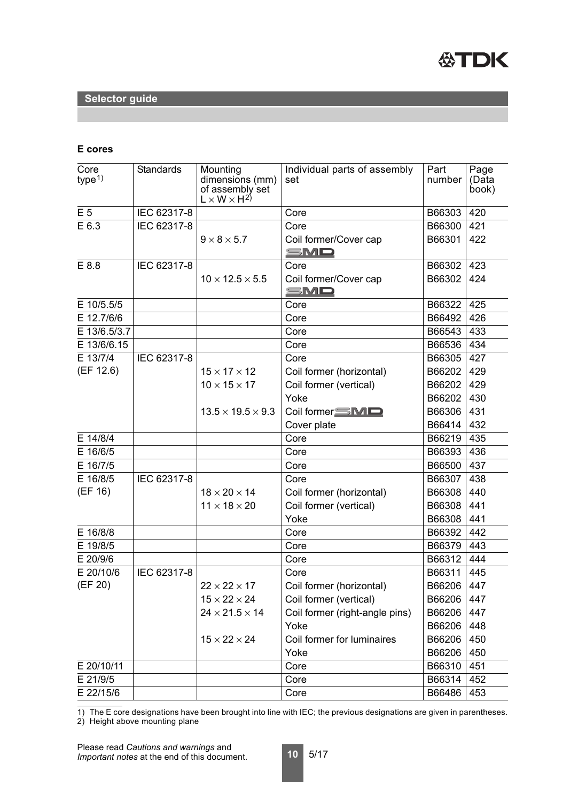

## **E cores**

| Core<br>type <sup>1</sup> | <b>Standards</b> | Mounting<br>dimensions (mm)<br>of assembly set<br>$L \times W \times H^{2}$ | Individual parts of assembly<br>set | Part<br>number | Page<br>(Data<br>book) |
|---------------------------|------------------|-----------------------------------------------------------------------------|-------------------------------------|----------------|------------------------|
| E 5                       | IEC 62317-8      |                                                                             | Core                                | B66303         | 420                    |
| E 6.3                     | IEC 62317-8      |                                                                             | Core                                | B66300         | 421                    |
|                           |                  | $9 \times 8 \times 5.7$                                                     | Coil former/Cover cap<br>SMD        | B66301         | 422                    |
| E 8.8                     | IEC 62317-8      |                                                                             | Core                                | B66302         | 423                    |
|                           |                  | $10 \times 12.5 \times 5.5$                                                 | Coil former/Cover cap<br>SMD        | B66302         | 424                    |
| E 10/5.5/5                |                  |                                                                             | Core                                | B66322         | 425                    |
| E 12.7/6/6                |                  |                                                                             | Core                                | B66492         | 426                    |
| E 13/6.5/3.7              |                  |                                                                             | Core                                | B66543         | 433                    |
| E 13/6/6.15               |                  |                                                                             | Core                                | B66536         | 434                    |
| E 13/7/4                  | IEC 62317-8      |                                                                             | Core                                | B66305         | 427                    |
| (EF 12.6)                 |                  | $15 \times 17 \times 12$                                                    | Coil former (horizontal)            | B66202         | 429                    |
|                           |                  | $10 \times 15 \times 17$                                                    | Coil former (vertical)              | B66202         | 429                    |
|                           |                  |                                                                             | Yoke                                | B66202         | 430                    |
|                           |                  | $13.5 \times 19.5 \times 9.3$                                               | Coil former SMD                     | B66306         | 431                    |
|                           |                  |                                                                             | Cover plate                         | B66414         | 432                    |
| E 14/8/4                  |                  |                                                                             | Core                                | B66219         | 435                    |
| E 16/6/5                  |                  |                                                                             | Core                                | B66393         | 436                    |
| E 16/7/5                  |                  |                                                                             | Core                                | B66500         | 437                    |
| E 16/8/5                  | IEC 62317-8      |                                                                             | Core                                | B66307         | 438                    |
| (EF 16)                   |                  | $18 \times 20 \times 14$                                                    | Coil former (horizontal)            | B66308         | 440                    |
|                           |                  | $11 \times 18 \times 20$                                                    | Coil former (vertical)              | B66308         | 441                    |
|                           |                  |                                                                             | Yoke                                | B66308         | 441                    |
| E 16/8/8                  |                  |                                                                             | Core                                | B66392         | 442                    |
| E 19/8/5                  |                  |                                                                             | Core                                | B66379         | 443                    |
| E 20/9/6                  |                  |                                                                             | Core                                | B66312         | 444                    |
| E 20/10/6                 | IEC 62317-8      |                                                                             | Core                                | B66311         | 445                    |
| (EF 20)                   |                  | $22 \times 22 \times 17$                                                    | Coil former (horizontal)            | B66206         | 447                    |
|                           |                  | $15 \times 22 \times 24$                                                    | Coil former (vertical)              | B66206         | 447                    |
|                           |                  | $24 \times 21.5 \times 14$                                                  | Coil former (right-angle pins)      | B66206         | 447                    |
|                           |                  |                                                                             | Yoke                                | B66206         | 448                    |
|                           |                  | $15 \times 22 \times 24$                                                    | Coil former for luminaires          | B66206         | 450                    |
|                           |                  |                                                                             | Yoke                                | B66206         | 450                    |
| E 20/10/11                |                  |                                                                             | Core                                | B66310         | 451                    |
| E 21/9/5                  |                  |                                                                             | Core                                | B66314         | 452                    |
| E 22/15/6                 |                  |                                                                             | Core                                | B66486         | 453                    |

1) The E core designations have been brought into line with IEC; the previous designations are given in parentheses. 2) Height above mounting plane

Please read *Cautions and warnings* and

*Important notes* at the end of this document.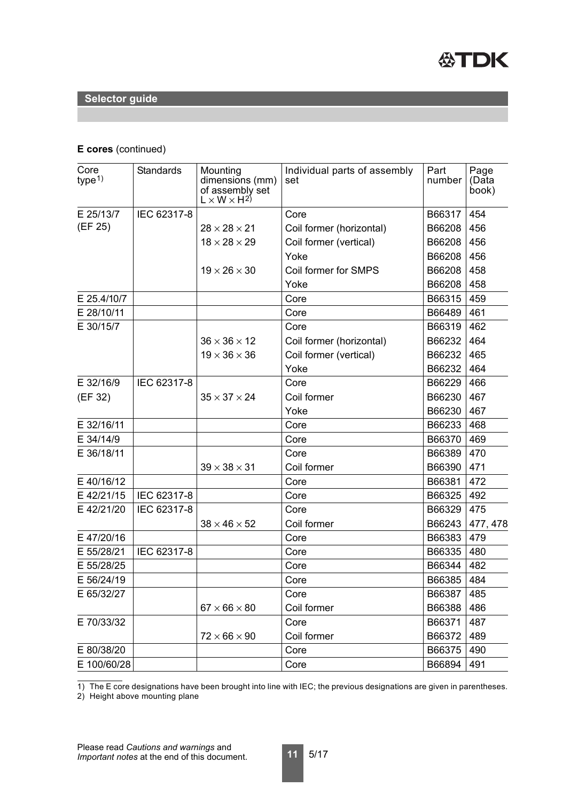

#### **E cores** (continued)

| Core<br>type <sup>1</sup> | <b>Standards</b> | Mounting<br>dimensions (mm)<br>of assembly set<br>$L \times W \times H^{2}$ | Individual parts of assembly<br>set | Part<br>number | Page<br>(Data<br>book) |
|---------------------------|------------------|-----------------------------------------------------------------------------|-------------------------------------|----------------|------------------------|
| E 25/13/7                 | IEC 62317-8      |                                                                             | Core                                | B66317         | 454                    |
| (EF 25)                   |                  | $28 \times 28 \times 21$                                                    | Coil former (horizontal)            | B66208         | 456                    |
|                           |                  | $18 \times 28 \times 29$                                                    | Coil former (vertical)              | B66208         | 456                    |
|                           |                  |                                                                             | Yoke                                | B66208         | 456                    |
|                           |                  | $19 \times 26 \times 30$                                                    | Coil former for SMPS                | B66208         | 458                    |
|                           |                  |                                                                             | Yoke                                | B66208         | 458                    |
| E 25.4/10/7               |                  |                                                                             | Core                                | B66315         | 459                    |
| E 28/10/11                |                  |                                                                             | Core                                | B66489         | 461                    |
| E 30/15/7                 |                  |                                                                             | Core                                | B66319         | 462                    |
|                           |                  | $36 \times 36 \times 12$                                                    | Coil former (horizontal)            | B66232         | 464                    |
|                           |                  | $19 \times 36 \times 36$                                                    | Coil former (vertical)              | B66232         | 465                    |
|                           |                  |                                                                             | Yoke                                | B66232         | 464                    |
| E 32/16/9                 | IEC 62317-8      |                                                                             | Core                                | B66229         | 466                    |
| (EF 32)                   |                  | $35 \times 37 \times 24$                                                    | Coil former                         | B66230         | 467                    |
|                           |                  |                                                                             | Yoke                                | B66230         | 467                    |
| E 32/16/11                |                  |                                                                             | Core                                | B66233         | 468                    |
| E 34/14/9                 |                  |                                                                             | Core                                | B66370         | 469                    |
| E 36/18/11                |                  |                                                                             | Core                                | B66389         | 470                    |
|                           |                  | $39 \times 38 \times 31$                                                    | Coil former                         | B66390         | 471                    |
| E 40/16/12                |                  |                                                                             | Core                                | B66381         | 472                    |
| E 42/21/15                | IEC 62317-8      |                                                                             | Core                                | B66325         | 492                    |
| E 42/21/20                | IEC 62317-8      |                                                                             | Core                                | B66329         | 475                    |
|                           |                  | $38 \times 46 \times 52$                                                    | Coil former                         | B66243         | 477, 478               |
| E 47/20/16                |                  |                                                                             | Core                                | B66383         | 479                    |
| E 55/28/21                | IEC 62317-8      |                                                                             | Core                                | B66335         | 480                    |
| E 55/28/25                |                  |                                                                             | Core                                | B66344         | 482                    |
| E 56/24/19                |                  |                                                                             | Core                                | B66385         | 484                    |
| E 65/32/27                |                  |                                                                             | Core                                | B66387         | 485                    |
|                           |                  | $67 \times 66 \times 80$                                                    | Coil former                         | B66388         | 486                    |
| E 70/33/32                |                  |                                                                             | Core                                | B66371         | 487                    |
|                           |                  | $72 \times 66 \times 90$                                                    | Coil former                         | B66372         | 489                    |
| E 80/38/20                |                  |                                                                             | Core                                | B66375         | 490                    |
| E 100/60/28               |                  |                                                                             | Core                                | B66894         | 491                    |

1) The E core designations have been brought into line with IEC; the previous designations are given in parentheses.

2) Height above mounting plane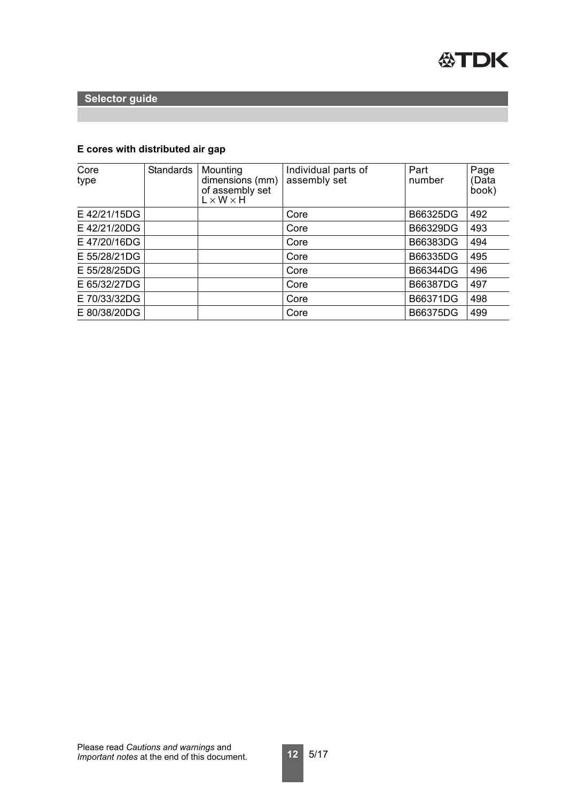

# **E cores with distributed air gap**

| Core<br>type | <b>Standards</b> | Mounting<br>dimensions (mm)<br>of assembly set<br>$L \times W \times H$ | Individual parts of<br>assembly set | Part<br>number | Page<br>(Data<br>book) |
|--------------|------------------|-------------------------------------------------------------------------|-------------------------------------|----------------|------------------------|
| E 42/21/15DG |                  |                                                                         | Core                                | B66325DG       | 492                    |
| E 42/21/20DG |                  |                                                                         | Core                                | B66329DG       | 493                    |
| E 47/20/16DG |                  |                                                                         | Core                                | B66383DG       | 494                    |
| E 55/28/21DG |                  |                                                                         | Core                                | B66335DG       | 495                    |
| E 55/28/25DG |                  |                                                                         | Core                                | B66344DG       | 496                    |
| E 65/32/27DG |                  |                                                                         | Core                                | B66387DG       | 497                    |
| E 70/33/32DG |                  |                                                                         | Core                                | B66371DG       | 498                    |
| E 80/38/20DG |                  |                                                                         | Core                                | B66375DG       | 499                    |

**12** 5/17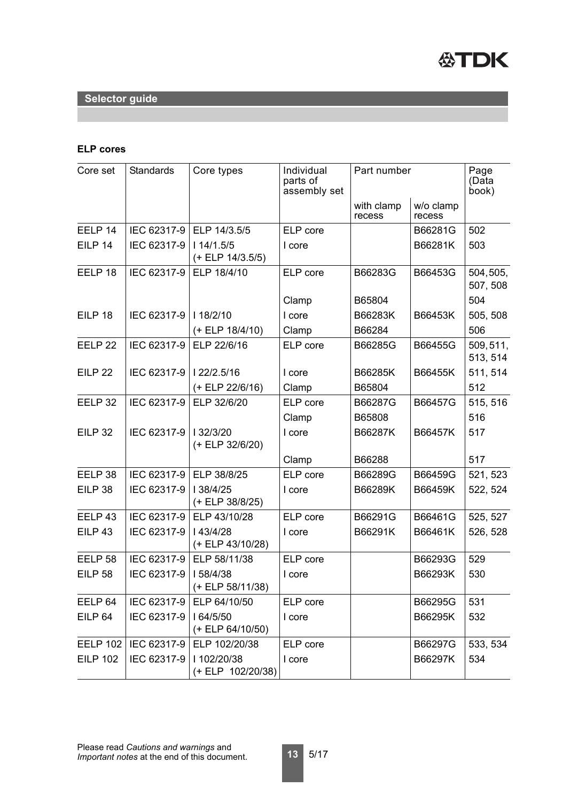

# **ELP cores**

| Core set           | <b>Standards</b> | Core types                      | Individual<br>parts of<br>assembly set | Part number          |                     | Page<br>(Data<br>book) |
|--------------------|------------------|---------------------------------|----------------------------------------|----------------------|---------------------|------------------------|
|                    |                  |                                 |                                        | with clamp<br>recess | w/o clamp<br>recess |                        |
| EELP 14            |                  | IEC 62317-9 ELP 14/3.5/5        | ELP core                               |                      | B66281G             | 502                    |
| EILP 14            | IEC 62317-9      | 114/1.5/5<br>$(+$ ELP 14/3.5/5) | I core                                 |                      | B66281K             | 503                    |
| EELP <sub>18</sub> | IEC 62317-9      | ELP 18/4/10                     | ELP core                               | B66283G              | B66453G             | 504,505,<br>507, 508   |
|                    |                  |                                 | Clamp                                  | B65804               |                     | 504                    |
| EILP 18            | IEC 62317-9      | 118/2/10                        | I core                                 | B66283K              | B66453K             | 505, 508               |
|                    |                  | $(+ ELP 18/4/10)$               | Clamp                                  | B66284               |                     | 506                    |
| EELP <sub>22</sub> | IEC 62317-9      | ELP 22/6/16                     | ELP core                               | B66285G              | B66455G             | 509, 511,<br>513, 514  |
| <b>EILP 22</b>     | IEC 62317-9      | 122/2.5/16                      | I core                                 | B66285K              | B66455K             | 511, 514               |
|                    |                  | (+ ELP 22/6/16)                 | Clamp                                  | B65804               |                     | 512                    |
| EELP 32            | IEC 62317-9      | ELP 32/6/20                     | ELP core                               | B66287G              | B66457G             | 515, 516               |
|                    |                  |                                 | Clamp                                  | B65808               |                     | 516                    |
| <b>EILP 32</b>     | IEC 62317-9      | 32/3/20<br>(+ ELP 32/6/20)      | I core                                 | B66287K              | B66457K             | 517                    |
|                    |                  |                                 | Clamp                                  | B66288               |                     | 517                    |
| EELP 38            | IEC 62317-9      | ELP 38/8/25                     | ELP core                               | B66289G              | B66459G             | 521, 523               |
| EILP 38            | IEC 62317-9      | I 38/4/25<br>(+ ELP 38/8/25)    | I core                                 | B66289K              | B66459K             | 522, 524               |
| EELP <sub>43</sub> | IEC 62317-9      | ELP 43/10/28                    | ELP core                               | B66291G              | B66461G             | 525, 527               |
| <b>EILP 43</b>     | IEC 62317-9      | 43/4/28<br>(+ ELP 43/10/28)     | I core                                 | B66291K              | B66461K             | 526, 528               |
| EELP <sub>58</sub> |                  | IEC 62317-9   ELP 58/11/38      | ELP core                               |                      | B66293G             | 529                    |
| <b>EILP 58</b>     | IEC 62317-9      | 58/4/38<br>(+ ELP 58/11/38)     | I core                                 |                      | B66293K             | 530                    |
| EELP <sub>64</sub> | IEC 62317-9      | ELP 64/10/50                    | ELP core                               |                      | B66295G             | 531                    |
| EILP <sub>64</sub> | IEC 62317-9      | 164/5/50<br>(+ ELP 64/10/50)    | I core                                 |                      | B66295K             | 532                    |
| <b>EELP 102</b>    | IEC 62317-9      | ELP 102/20/38                   | ELP core                               |                      | B66297G             | 533, 534               |
| <b>EILP 102</b>    | IEC 62317-9      | 1102/20/38<br>(+ ELP 102/20/38) | I core                                 |                      | B66297K             | 534                    |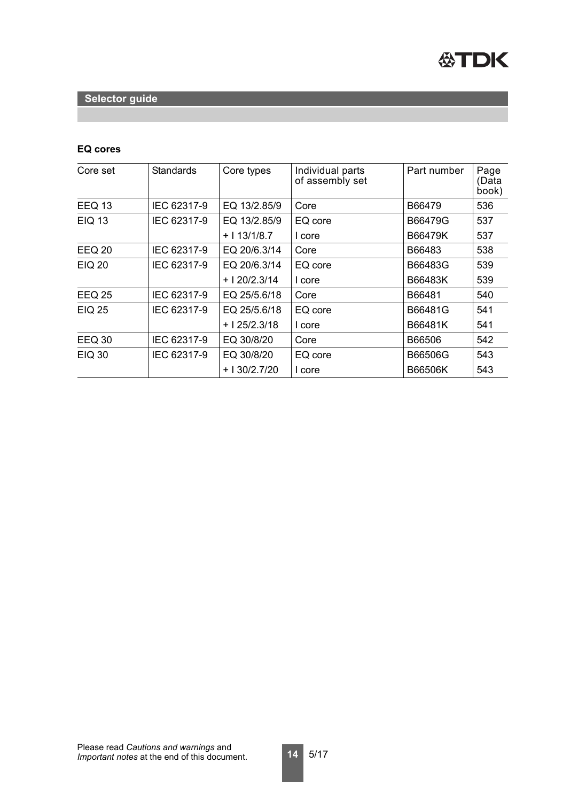

## **EQ cores**

| Core set      | <b>Standards</b> | Core types    | Individual parts<br>of assembly set | Part number | Page<br>(Data<br>book) |
|---------------|------------------|---------------|-------------------------------------|-------------|------------------------|
| <b>EEQ 13</b> | IEC 62317-9      | EQ 13/2.85/9  | Core                                | B66479      | 536                    |
| <b>EIQ 13</b> | IEC 62317-9      | EQ 13/2.85/9  | EQ core                             | B66479G     | 537                    |
|               |                  | $+113/1/8.7$  | I core                              | B66479K     | 537                    |
| <b>EEQ 20</b> | IEC 62317-9      | EQ 20/6.3/14  | Core                                | B66483      | 538                    |
| <b>EIQ 20</b> | IEC 62317-9      | EQ 20/6.3/14  | EQ core                             | B66483G     | 539                    |
|               |                  | $+120/2.3/14$ | I core                              | B66483K     | 539                    |
| <b>EEQ 25</b> | IEC 62317-9      | EQ 25/5.6/18  | Core                                | B66481      | 540                    |
| <b>EIQ 25</b> | IEC 62317-9      | EQ 25/5.6/18  | EQ core                             | B66481G     | 541                    |
|               |                  | $+125/2.3/18$ | I core                              | B66481K     | 541                    |
| <b>EEQ 30</b> | IEC 62317-9      | EQ 30/8/20    | Core                                | B66506      | 542                    |
| <b>EIQ 30</b> | IEC 62317-9      | EQ 30/8/20    | EQ core                             | B66506G     | 543                    |
|               |                  | $+130/2.7/20$ | I core                              | B66506K     | 543                    |

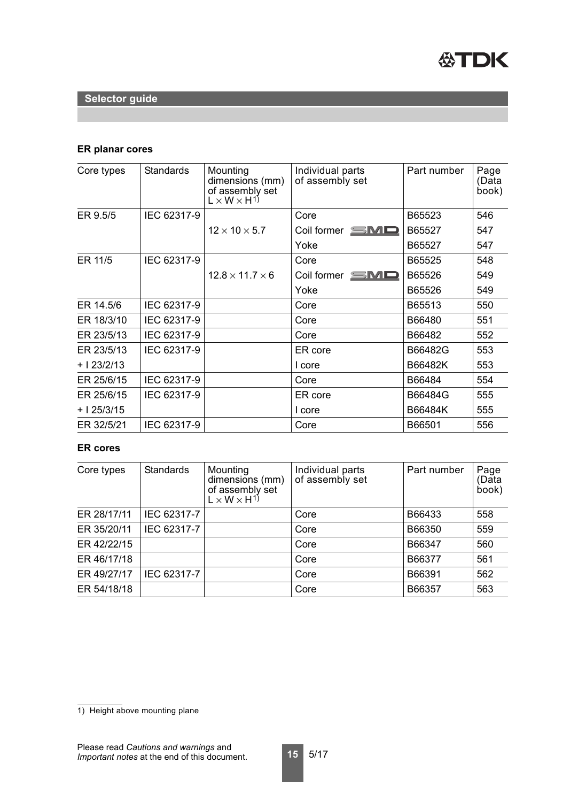

## **ER planar cores**

| Core types   | <b>Standards</b> | Mounting<br>dimensions (mm)<br>of assembly set<br>$L \times W \times H^{1}$ | Individual parts<br>of assembly set | Part number | Page<br>(Data<br>book) |
|--------------|------------------|-----------------------------------------------------------------------------|-------------------------------------|-------------|------------------------|
| ER 9.5/5     | IEC 62317-9      |                                                                             | Core                                | B65523      | 546                    |
|              |                  | $12 \times 10 \times 5.7$                                                   | Coil former $\equiv$ $\blacksquare$ | B65527      | 547                    |
|              |                  |                                                                             | Yoke                                | B65527      | 547                    |
| ER 11/5      | IEC 62317-9      |                                                                             | Core                                | B65525      | 548                    |
|              |                  | $12.8 \times 11.7 \times 6$                                                 | Coil former $\blacksquare$          | B65526      | 549                    |
|              |                  |                                                                             | Yoke                                | B65526      | 549                    |
| ER 14.5/6    | IEC 62317-9      |                                                                             | Core                                | B65513      | 550                    |
| ER 18/3/10   | IEC 62317-9      |                                                                             | Core                                | B66480      | 551                    |
| ER 23/5/13   | IEC 62317-9      |                                                                             | Core                                | B66482      | 552                    |
| ER 23/5/13   | IEC 62317-9      |                                                                             | ER core                             | B66482G     | 553                    |
| $+ 123/2/13$ |                  |                                                                             | I core                              | B66482K     | 553                    |
| ER 25/6/15   | IEC 62317-9      |                                                                             | Core                                | B66484      | 554                    |
| ER 25/6/15   | IEC 62317-9      |                                                                             | ER core                             | B66484G     | 555                    |
| $+125/3/15$  |                  |                                                                             | I core                              | B66484K     | 555                    |
| ER 32/5/21   | IEC 62317-9      |                                                                             | Core                                | B66501      | 556                    |

## **ER cores**

| Core types  | <b>Standards</b> | Mounting<br>dimensions (mm)<br>of assembly set<br>$L \times W \times H^{1}$ | Individual parts<br>of assembly set | Part number | Page<br>(Data<br>book) |
|-------------|------------------|-----------------------------------------------------------------------------|-------------------------------------|-------------|------------------------|
| ER 28/17/11 | IEC 62317-7      |                                                                             | Core                                | B66433      | 558                    |
| ER 35/20/11 | IEC 62317-7      |                                                                             | Core                                | B66350      | 559                    |
| ER 42/22/15 |                  |                                                                             | Core                                | B66347      | 560                    |
| ER 46/17/18 |                  |                                                                             | Core                                | B66377      | 561                    |
| ER 49/27/17 | IEC 62317-7      |                                                                             | Core                                | B66391      | 562                    |
| ER 54/18/18 |                  |                                                                             | Core                                | B66357      | 563                    |

<sup>1)</sup> Height above mounting plane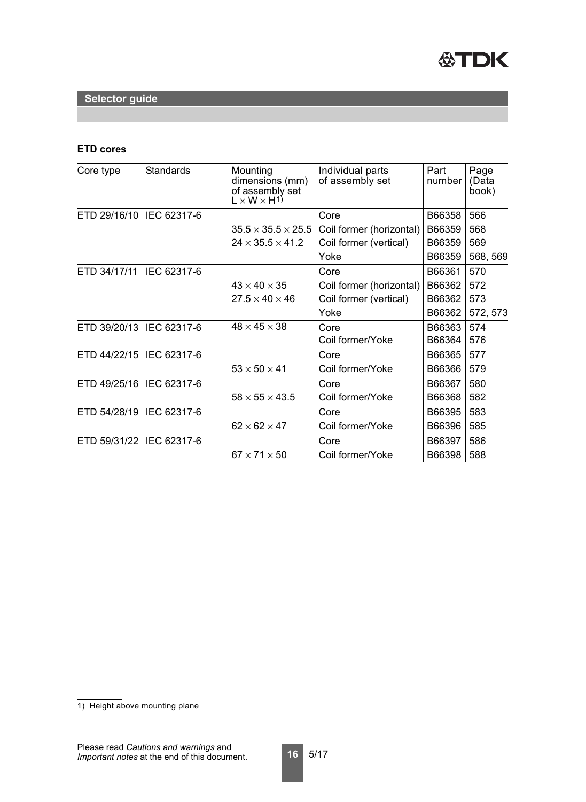

## **ETD cores**

| Core type                  | <b>Standards</b> | Mounting<br>dimensions (mm)<br>of assembly set<br>$L \times W \times H^{1}$ | Individual parts<br>of assembly set | Part<br>number | Page<br>(Data<br>book) |
|----------------------------|------------------|-----------------------------------------------------------------------------|-------------------------------------|----------------|------------------------|
| ETD 29/16/10   IEC 62317-6 |                  |                                                                             | Core                                | B66358         | 566                    |
|                            |                  | $35.5 \times 35.5 \times 25.5$                                              | Coil former (horizontal)            | B66359         | 568                    |
|                            |                  | $24 \times 35.5 \times 41.2$                                                | Coil former (vertical)              | B66359         | 569                    |
|                            |                  |                                                                             | Yoke                                | B66359         | 568, 569               |
| ETD 34/17/11   IEC 62317-6 |                  |                                                                             | Core                                | B66361         | 570                    |
|                            |                  | $43 \times 40 \times 35$                                                    | Coil former (horizontal)            | B66362         | 572                    |
|                            |                  | $27.5 \times 40 \times 46$                                                  | Coil former (vertical)              | B66362         | 573                    |
|                            |                  |                                                                             | Yoke                                | B66362         | 572, 573               |
| ETD 39/20/13   IEC 62317-6 |                  | $48 \times 45 \times 38$                                                    | Core                                | B66363         | 574                    |
|                            |                  |                                                                             | Coil former/Yoke                    | B66364         | 576                    |
| ETD 44/22/15   IEC 62317-6 |                  |                                                                             | Core                                | B66365         | 577                    |
|                            |                  | $53 \times 50 \times 41$                                                    | Coil former/Yoke                    | B66366         | 579                    |
| ETD 49/25/16               | IEC 62317-6      |                                                                             | Core                                | B66367         | 580                    |
|                            |                  | $58 \times 55 \times 43.5$                                                  | Coil former/Yoke                    | B66368         | 582                    |
| ETD 54/28/19               | IEC 62317-6      |                                                                             | Core                                | B66395         | 583                    |
|                            |                  | $62 \times 62 \times 47$                                                    | Coil former/Yoke                    | B66396         | 585                    |
| ETD 59/31/22   IEC 62317-6 |                  |                                                                             | Core                                | B66397         | 586                    |
|                            |                  | $67 \times 71 \times 50$                                                    | Coil former/Yoke                    | B66398         | 588                    |

<sup>1)</sup> Height above mounting plane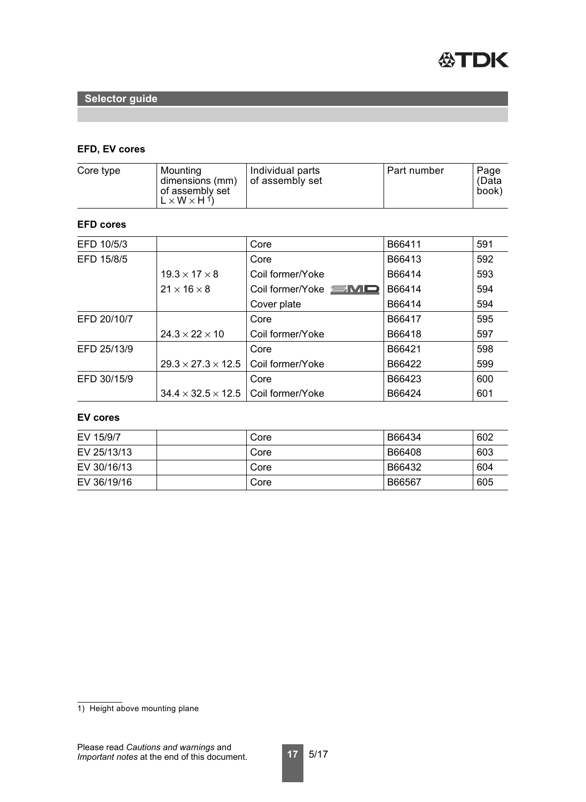

## **EFD, EV cores**

| Core type | Mounting<br>dimensions (mm)<br>of assembly set<br>$L \times W \times H^{1}$ | Individual parts<br>of assembly set | Part number | Page<br>(Data<br>book) |
|-----------|-----------------------------------------------------------------------------|-------------------------------------|-------------|------------------------|
|           |                                                                             |                                     |             |                        |

## **EFD cores**

| EFD 10/5/3  |                                | Core                 | B66411 | 591 |
|-------------|--------------------------------|----------------------|--------|-----|
| EFD 15/8/5  |                                | Core                 | B66413 | 592 |
|             | $19.3 \times 17 \times 8$      | Coil former/Yoke     | B66414 | 593 |
|             | $21 \times 16 \times 8$        | Coil former/Yoke SMD | B66414 | 594 |
|             |                                | Cover plate          | B66414 | 594 |
| EFD 20/10/7 |                                | Core                 | B66417 | 595 |
|             | $24.3 \times 22 \times 10$     | Coil former/Yoke     | B66418 | 597 |
| EFD 25/13/9 |                                | Core                 | B66421 | 598 |
|             | $29.3 \times 27.3 \times 12.5$ | Coil former/Yoke     | B66422 | 599 |
| EFD 30/15/9 |                                | Core                 | B66423 | 600 |
|             | $34.4 \times 32.5 \times 12.5$ | Coil former/Yoke     | B66424 | 601 |

#### **EV cores**

| EV 15/9/7   | Core | B66434 | 602 |
|-------------|------|--------|-----|
| EV 25/13/13 | Core | B66408 | 603 |
| EV 30/16/13 | Core | B66432 | 604 |
| EV 36/19/16 | Core | B66567 | 605 |

<sup>1)</sup> Height above mounting plane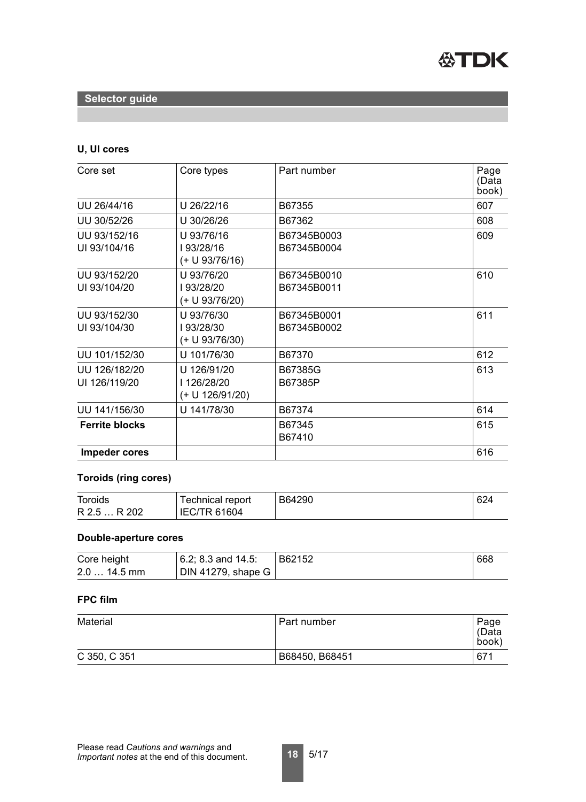

## **U, UI cores**

| Core set                       | Core types                                  | Part number                | Page<br>(Data<br>book) |
|--------------------------------|---------------------------------------------|----------------------------|------------------------|
| UU 26/44/16                    | U 26/22/16                                  | B67355                     | 607                    |
| UU 30/52/26                    | U 30/26/26                                  | B67362                     | 608                    |
| UU 93/152/16<br>UI 93/104/16   | U 93/76/16<br>193/28/16<br>(+ U 93/76/16)   | B67345B0003<br>B67345B0004 | 609                    |
| UU 93/152/20<br>UI 93/104/20   | U 93/76/20<br>I93/28/20<br>(+ U 93/76/20)   | B67345B0010<br>B67345B0011 | 610                    |
| UU 93/152/30<br>UI 93/104/30   | U 93/76/30<br>193/28/30<br>(+ U 93/76/30)   | B67345B0001<br>B67345B0002 | 611                    |
| UU 101/152/30                  | U 101/76/30                                 | B67370                     | 612                    |
| UU 126/182/20<br>UI 126/119/20 | U 126/91/20<br>126/28/20<br>(+ U 126/91/20) | B67385G<br>B67385P         | 613                    |
| UU 141/156/30                  | U 141/78/30                                 | B67374                     | 614                    |
| <b>Ferrite blocks</b>          |                                             | B67345<br>B67410           | 615                    |
| <b>Impeder cores</b>           |                                             |                            | 616                    |

#### **Toroids (ring cores)**

| <b>Toroids</b>         | Technical report    | B64290 | 624 |
|------------------------|---------------------|--------|-----|
| R 2.5<br>202<br>P<br>. | <b>IEC/TR 61604</b> |        |     |

#### **Double-aperture cores**

| Core height  | $  6.2; 8.3$ and 14.5:     | B62152 | 668 |
|--------------|----------------------------|--------|-----|
| $2.014.5$ mm | DIN 41279, shape G $\vert$ |        |     |

#### **FPC film**

| <b>Material</b> | Part number    | Page<br>(Data<br>book) |
|-----------------|----------------|------------------------|
| C 350, C 351    | B68450, B68451 | 671                    |